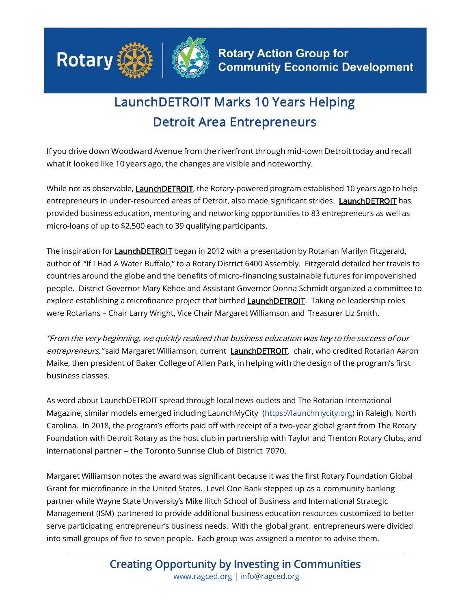

## LaunchDETROIT Marks 10 Years Helping Detroit Area Entrepreneurs

If you drive down Woodward Avenue from the riverfront through mid-town Detroit today and recall what it looked like 10 years ago, the changes are visible and noteworthy.

While not as observable, **LaunchDETROIT**, the Rotary-powered program established 10 years ago to help entrepreneurs in under-resourced areas of Detroit, also made significant strides. LaunchDETROIT has provided business education, mentoring and networking opportunities to 83 entrepreneurs as well as micro-loans of up to \$2,500 each to 39 qualifying participants.

The inspiration for **LaunchDETROIT** began in 2012 with a presentation by Rotarian Marilyn Fitzgerald, author of "If I Had A Water Buffalo," to a Rotary District 6400 Assembly. Fitzgerald detailed her travels to countries around the globe and the benefits of micro-financing sustainable futures for impoverished people. District Governor Mary Kehoe and Assistant Governor Donna Schmidt organized a committee to explore establishing a microfinance project that birthed **LaunchDETROIT**. Taking on leadership roles were Rotarians – Chair Larry Wright, Vice Chair Margaret Williamson and Treasurer Liz Smith.

"From the very beginning, we quickly realized that business education was key to the success of our entrepreneurs," said Margaret Williamson, current LaunchDETROIT. chair, who credited Rotarian Aaron Maike, then president of Baker College of Allen Park, in helping with the design of the program's first business classes.

As word about LaunchDETROIT spread through local news outlets and The Rotarian International Magazine, similar models emerged including LaunchMyCity (https://launchmycity.org) in Raleigh, North Carolina. In 2018, the program's efforts paid off with receipt of a two-year global grant from The Rotary Foundation with Detroit Rotary as the host club in partnership with Taylor and Trenton Rotary Clubs, and international partner -- the Toronto Sunrise Club of District 7070.

Margaret Williamson notes the award was significant because it was the first Rotary Foundation Global Grant for microfinance in the United States. Level One Bank stepped up as a community banking partner while Wayne State University's Mike Ilitch School of Business and International Strategic Management (ISM) partnered to provide additional business education resources customized to better serve participating entrepreneur's business needs. With the global grant, entrepreneurs were divided into small groups of five to seven people. Each group was assigned a mentor to advise them.